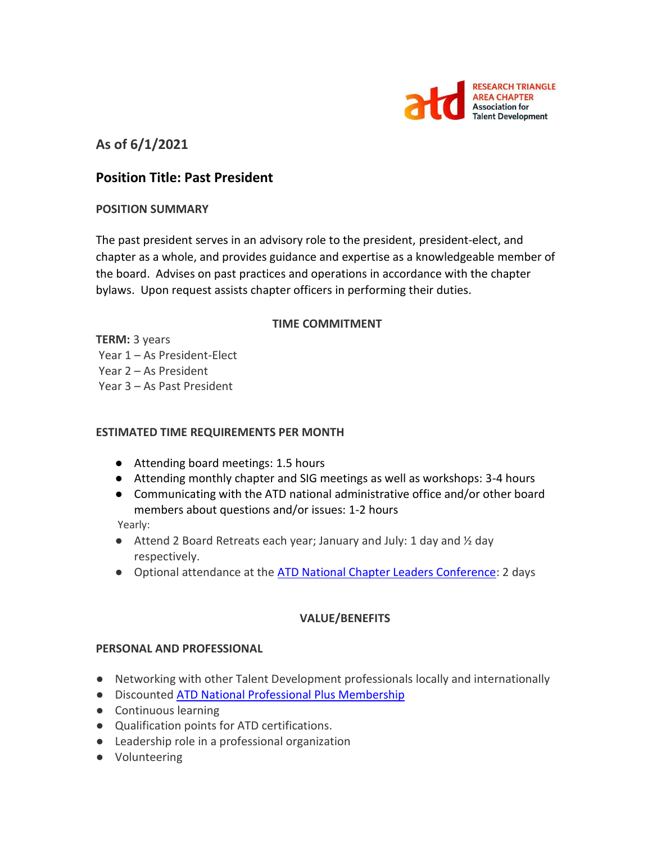

# **As of 6/1/2021**

## **Position Title: Past President**

### **POSITION SUMMARY**

The past president serves in an advisory role to the president, president-elect, and chapter as a whole, and provides guidance and expertise as a knowledgeable member of the board. Advises on past practices and operations in accordance with the chapter bylaws. Upon request assists chapter officers in performing their duties.

#### **TIME COMMITMENT**

**TERM:** 3 years Year 1 – As President-Elect Year 2 – As President Year 3 – As Past President

#### **ESTIMATED TIME REQUIREMENTS PER MONTH**

- Attending board meetings: 1.5 hours
- Attending monthly chapter and SIG meetings as well as workshops: 3-4 hours
- Communicating with the ATD national administrative office and/or other board members about questions and/or issues: 1-2 hours

Yearly:

- $\bullet$  Attend 2 Board Retreats each year; January and July: 1 day and  $\frac{1}{2}$  day respectively.
- Optional attendance at the [ATD National Chapter Leaders Conference:](https://events.td.org/Chapter-Leaders-Conference) 2 days

#### **VALUE/BENEFITS**

#### **PERSONAL AND PROFESSIONAL**

- Networking with other Talent Development professionals locally and internationally
- Discounted [ATD National Professional Plus Membership](https://checkout.td.org/Membership)
- Continuous learning
- Qualification points for ATD certifications.
- Leadership role in a professional organization
- Volunteering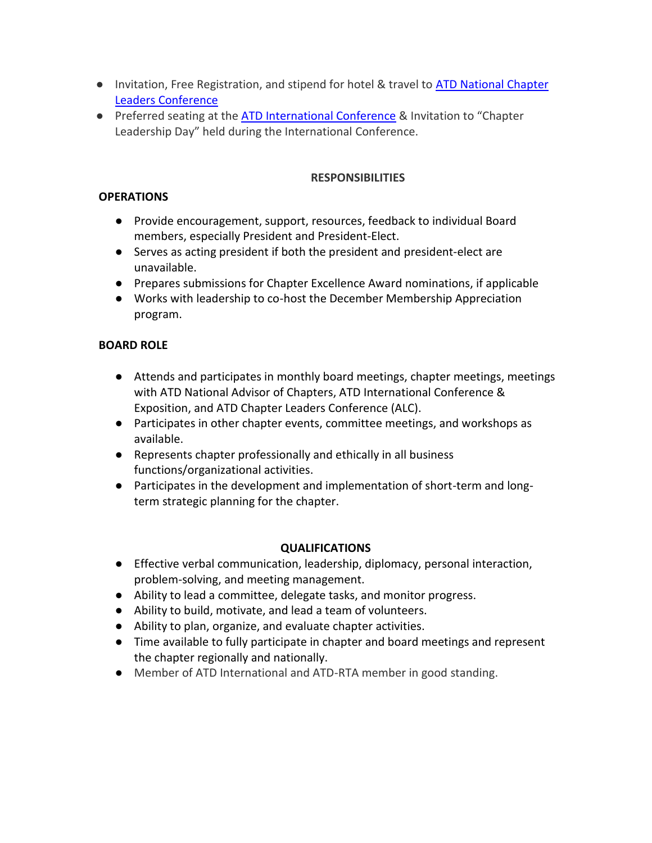- Invitation, Free Registration, and stipend for hotel & travel to ATD National Chapter [Leaders Conference](https://events.td.org/Chapter-Leaders-Conference)
- Preferred seating at the [ATD International Conference](https://www.td.org/events) & Invitation to "Chapter Leadership Day" held during the International Conference.

## **RESPONSIBILITIES**

### **OPERATIONS**

- Provide encouragement, support, resources, feedback to individual Board members, especially President and President-Elect.
- Serves as acting president if both the president and president-elect are unavailable.
- Prepares submissions for Chapter Excellence Award nominations, if applicable
- Works with leadership to co-host the December Membership Appreciation program.

## **BOARD ROLE**

- Attends and participates in monthly board meetings, chapter meetings, meetings with ATD National Advisor of Chapters, ATD International Conference & Exposition, and ATD Chapter Leaders Conference (ALC).
- Participates in other chapter events, committee meetings, and workshops as available.
- Represents chapter professionally and ethically in all business functions/organizational activities.
- Participates in the development and implementation of short-term and longterm strategic planning for the chapter.

## **QUALIFICATIONS**

- Effective verbal communication, leadership, diplomacy, personal interaction, problem-solving, and meeting management.
- Ability to lead a committee, delegate tasks, and monitor progress.
- Ability to build, motivate, and lead a team of volunteers.
- Ability to plan, organize, and evaluate chapter activities.
- Time available to fully participate in chapter and board meetings and represent the chapter regionally and nationally.
- Member of ATD International and ATD-RTA member in good standing.